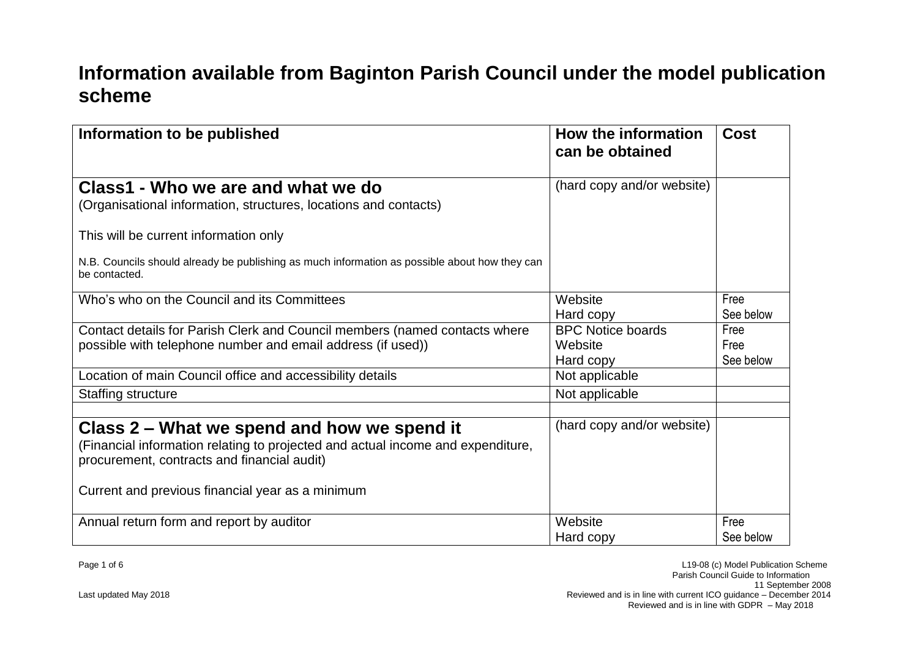## **Information available from Baginton Parish Council under the model publication scheme**

| Information to be published                                                                                                                                                                                                       | How the information<br>can be obtained | <b>Cost</b>       |
|-----------------------------------------------------------------------------------------------------------------------------------------------------------------------------------------------------------------------------------|----------------------------------------|-------------------|
| Class1 - Who we are and what we do                                                                                                                                                                                                | (hard copy and/or website)             |                   |
| (Organisational information, structures, locations and contacts)                                                                                                                                                                  |                                        |                   |
| This will be current information only                                                                                                                                                                                             |                                        |                   |
| N.B. Councils should already be publishing as much information as possible about how they can<br>be contacted.                                                                                                                    |                                        |                   |
| Who's who on the Council and its Committees                                                                                                                                                                                       | Website                                | Free              |
|                                                                                                                                                                                                                                   | Hard copy                              | See below         |
| Contact details for Parish Clerk and Council members (named contacts where                                                                                                                                                        | <b>BPC Notice boards</b>               | Free              |
| possible with telephone number and email address (if used))                                                                                                                                                                       | Website                                | Free              |
|                                                                                                                                                                                                                                   | Hard copy                              | See below         |
| Location of main Council office and accessibility details                                                                                                                                                                         | Not applicable                         |                   |
| <b>Staffing structure</b>                                                                                                                                                                                                         | Not applicable                         |                   |
| Class 2 – What we spend and how we spend it<br>(Financial information relating to projected and actual income and expenditure,<br>procurement, contracts and financial audit)<br>Current and previous financial year as a minimum | (hard copy and/or website)             |                   |
| Annual return form and report by auditor                                                                                                                                                                                          | Website<br>Hard copy                   | Free<br>See below |
|                                                                                                                                                                                                                                   |                                        |                   |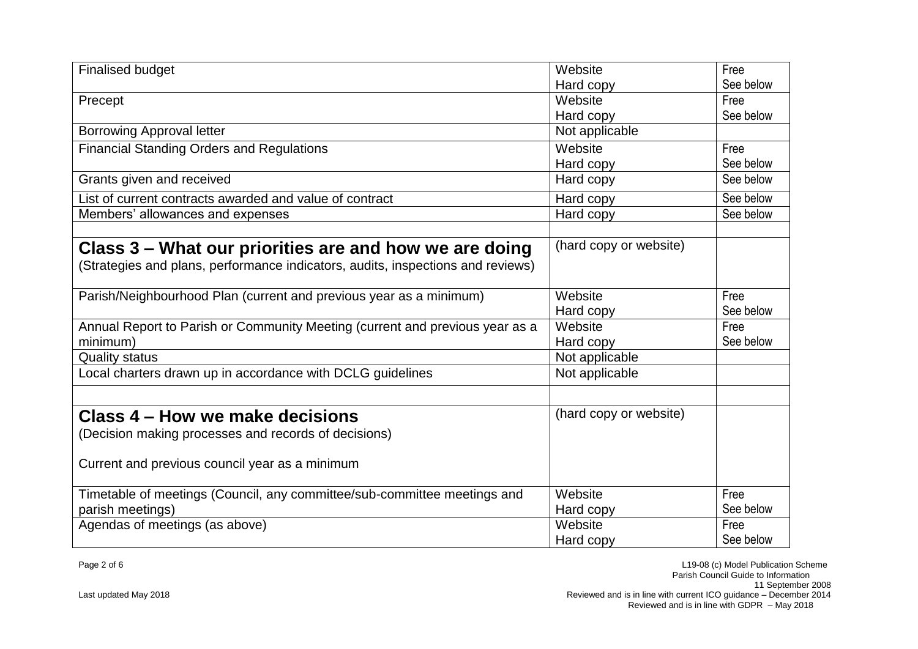| <b>Finalised budget</b>                                                                                                                   | Website                | Free              |
|-------------------------------------------------------------------------------------------------------------------------------------------|------------------------|-------------------|
|                                                                                                                                           | Hard copy              | See below         |
| Precept                                                                                                                                   | Website                | Free              |
|                                                                                                                                           | Hard copy              | See below         |
| <b>Borrowing Approval letter</b>                                                                                                          | Not applicable         |                   |
| <b>Financial Standing Orders and Regulations</b>                                                                                          | Website                | Free              |
|                                                                                                                                           | Hard copy              | See below         |
| Grants given and received                                                                                                                 | Hard copy              | See below         |
| List of current contracts awarded and value of contract                                                                                   | Hard copy              | See below         |
| Members' allowances and expenses                                                                                                          | Hard copy              | See below         |
| Class 3 – What our priorities are and how we are doing<br>(Strategies and plans, performance indicators, audits, inspections and reviews) | (hard copy or website) |                   |
| Parish/Neighbourhood Plan (current and previous year as a minimum)                                                                        | Website<br>Hard copy   | Free<br>See below |
| Annual Report to Parish or Community Meeting (current and previous year as a<br>minimum)                                                  | Website<br>Hard copy   | Free<br>See below |
| <b>Quality status</b>                                                                                                                     | Not applicable         |                   |
| Local charters drawn up in accordance with DCLG guidelines                                                                                | Not applicable         |                   |
|                                                                                                                                           |                        |                   |
| Class 4 – How we make decisions                                                                                                           | (hard copy or website) |                   |
| (Decision making processes and records of decisions)                                                                                      |                        |                   |
| Current and previous council year as a minimum                                                                                            |                        |                   |
| Timetable of meetings (Council, any committee/sub-committee meetings and                                                                  | Website                | Free              |
| parish meetings)                                                                                                                          | Hard copy              | See below         |
| Agendas of meetings (as above)                                                                                                            | Website                | Free              |
|                                                                                                                                           | Hard copy              | See below         |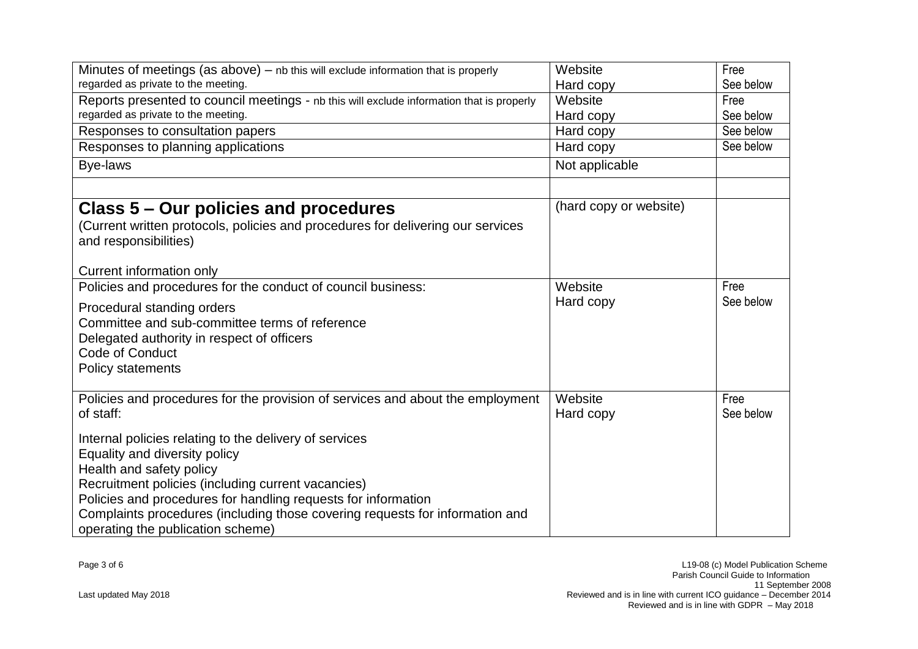| Minutes of meetings (as above) - nb this will exclude information that is properly<br>regarded as private to the meeting.                                                                                                                                                                                                                                       | Website<br>Hard copy   | Free<br>See below |
|-----------------------------------------------------------------------------------------------------------------------------------------------------------------------------------------------------------------------------------------------------------------------------------------------------------------------------------------------------------------|------------------------|-------------------|
| Reports presented to council meetings - nb this will exclude information that is properly<br>regarded as private to the meeting.                                                                                                                                                                                                                                | Website<br>Hard copy   | Free<br>See below |
| Responses to consultation papers                                                                                                                                                                                                                                                                                                                                | Hard copy              | See below         |
| Responses to planning applications                                                                                                                                                                                                                                                                                                                              | Hard copy              | See below         |
| Bye-laws                                                                                                                                                                                                                                                                                                                                                        | Not applicable         |                   |
|                                                                                                                                                                                                                                                                                                                                                                 | (hard copy or website) |                   |
| Class 5 – Our policies and procedures<br>(Current written protocols, policies and procedures for delivering our services<br>and responsibilities)                                                                                                                                                                                                               |                        |                   |
| Current information only                                                                                                                                                                                                                                                                                                                                        |                        |                   |
| Policies and procedures for the conduct of council business:                                                                                                                                                                                                                                                                                                    | Website                | Free              |
| Procedural standing orders<br>Committee and sub-committee terms of reference<br>Delegated authority in respect of officers<br>Code of Conduct<br><b>Policy statements</b>                                                                                                                                                                                       | Hard copy              | See below         |
| Policies and procedures for the provision of services and about the employment<br>of staff:                                                                                                                                                                                                                                                                     | Website<br>Hard copy   | Free<br>See below |
| Internal policies relating to the delivery of services<br>Equality and diversity policy<br>Health and safety policy<br>Recruitment policies (including current vacancies)<br>Policies and procedures for handling requests for information<br>Complaints procedures (including those covering requests for information and<br>operating the publication scheme) |                        |                   |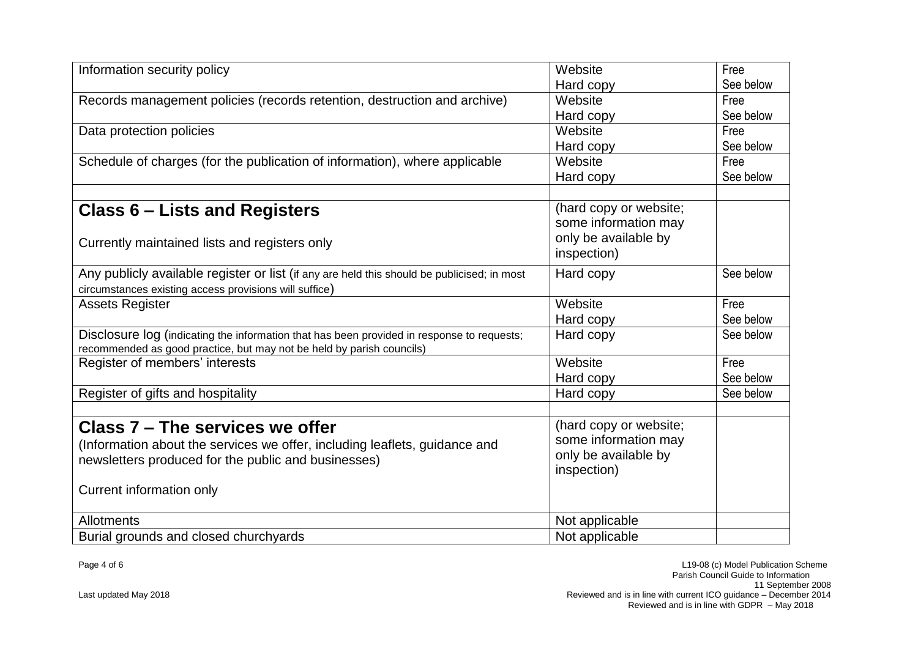| Information security policy                                                                                                                                                                      | Website                                                                               | Free              |
|--------------------------------------------------------------------------------------------------------------------------------------------------------------------------------------------------|---------------------------------------------------------------------------------------|-------------------|
|                                                                                                                                                                                                  | Hard copy                                                                             | See below         |
| Records management policies (records retention, destruction and archive)                                                                                                                         | Website                                                                               | Free              |
|                                                                                                                                                                                                  | Hard copy                                                                             | See below         |
| Data protection policies                                                                                                                                                                         | Website                                                                               | Free              |
|                                                                                                                                                                                                  | Hard copy                                                                             | See below         |
| Schedule of charges (for the publication of information), where applicable                                                                                                                       | Website                                                                               | Free              |
|                                                                                                                                                                                                  | Hard copy                                                                             | See below         |
| Class 6 – Lists and Registers<br>Currently maintained lists and registers only                                                                                                                   | (hard copy or website;<br>some information may<br>only be available by<br>inspection) |                   |
| Any publicly available register or list (if any are held this should be publicised; in most<br>circumstances existing access provisions will suffice)                                            | Hard copy                                                                             | See below         |
| <b>Assets Register</b>                                                                                                                                                                           | Website<br>Hard copy                                                                  | Free<br>See below |
| Disclosure log (indicating the information that has been provided in response to requests;<br>recommended as good practice, but may not be held by parish councils)                              | Hard copy                                                                             | See below         |
| Register of members' interests                                                                                                                                                                   | Website<br>Hard copy                                                                  | Free<br>See below |
| Register of gifts and hospitality                                                                                                                                                                | Hard copy                                                                             | See below         |
| Class 7 - The services we offer<br>(Information about the services we offer, including leaflets, guidance and<br>newsletters produced for the public and businesses)<br>Current information only | (hard copy or website;<br>some information may<br>only be available by<br>inspection) |                   |
| <b>Allotments</b>                                                                                                                                                                                | Not applicable                                                                        |                   |
| Burial grounds and closed churchyards                                                                                                                                                            | Not applicable                                                                        |                   |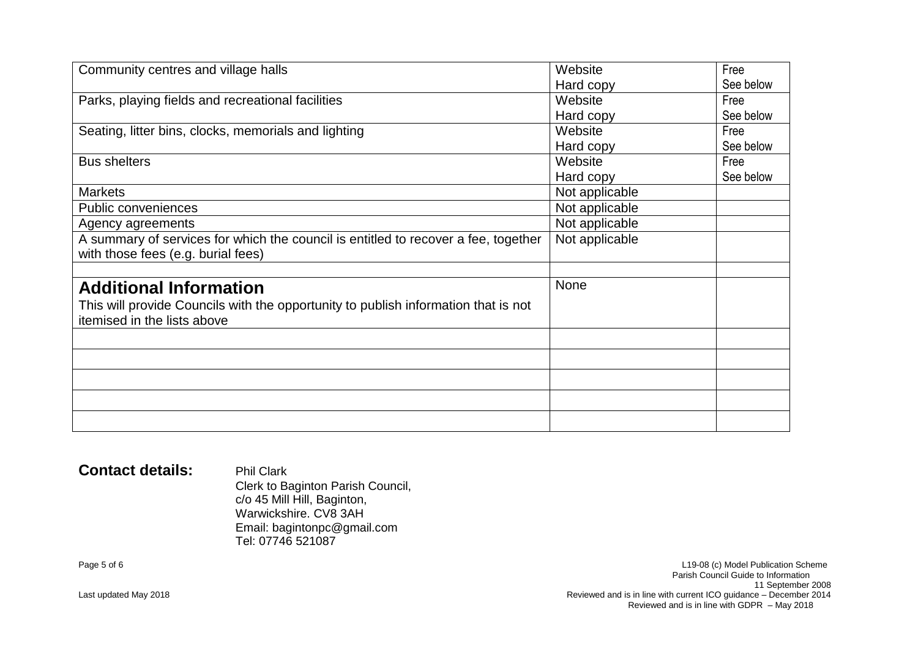| Community centres and village halls                                                | Website        | Free      |
|------------------------------------------------------------------------------------|----------------|-----------|
|                                                                                    | Hard copy      | See below |
| Parks, playing fields and recreational facilities                                  | Website        | Free      |
|                                                                                    | Hard copy      | See below |
| Seating, litter bins, clocks, memorials and lighting                               | Website        | Free      |
|                                                                                    | Hard copy      | See below |
| <b>Bus shelters</b>                                                                | Website        | Free      |
|                                                                                    | Hard copy      | See below |
| <b>Markets</b>                                                                     | Not applicable |           |
| <b>Public conveniences</b>                                                         | Not applicable |           |
| Agency agreements                                                                  | Not applicable |           |
| A summary of services for which the council is entitled to recover a fee, together | Not applicable |           |
| with those fees (e.g. burial fees)                                                 |                |           |
|                                                                                    |                |           |
| <b>Additional Information</b>                                                      | <b>None</b>    |           |
| This will provide Councils with the opportunity to publish information that is not |                |           |
| itemised in the lists above                                                        |                |           |
|                                                                                    |                |           |
|                                                                                    |                |           |
|                                                                                    |                |           |
|                                                                                    |                |           |
|                                                                                    |                |           |
|                                                                                    |                |           |

## **Contact details:** Phil Clark

Clerk to Baginton Parish Council, c/o 45 Mill Hill, Baginton, Warwickshire. CV8 3AH Email: [bagintonpc@gmail.com](mailto:bagintonpc@gmail.com) Tel: 07746 521087